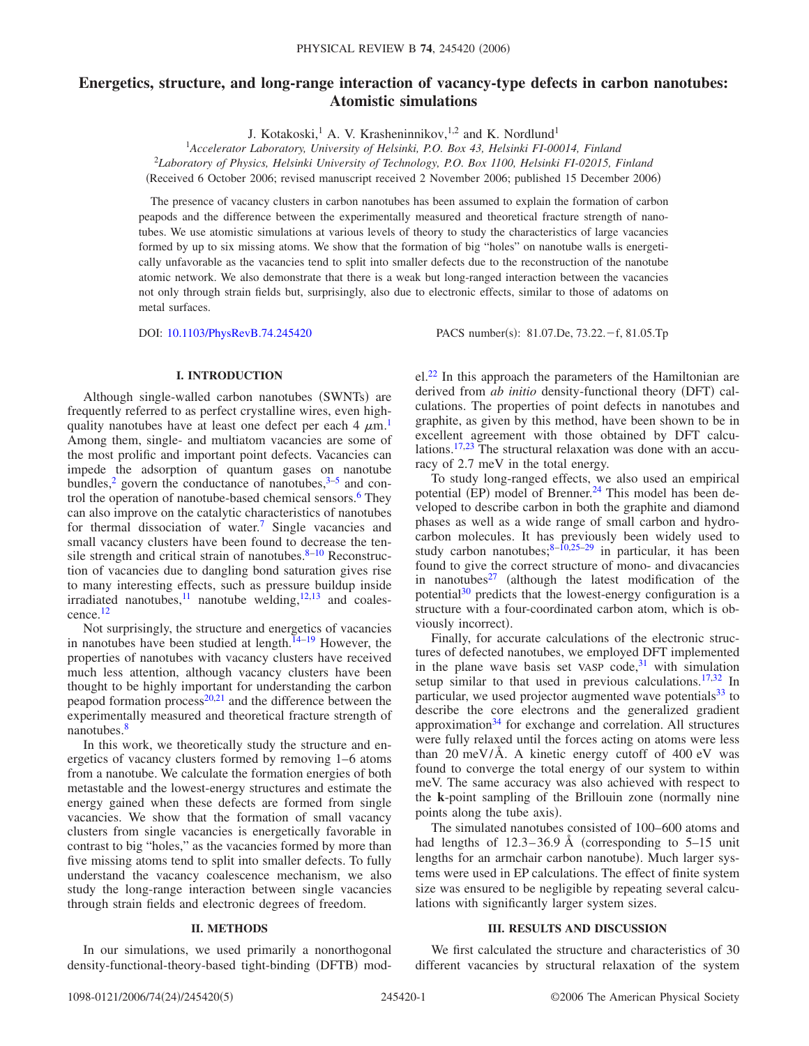# **Energetics, structure, and long-range interaction of vacancy-type defects in carbon nanotubes: Atomistic simulations**

J. Kotakoski,<sup>1</sup> A. V. Krasheninnikov,<sup>1,2</sup> and K. Nordlund<sup>1</sup>

<sup>1</sup>*Accelerator Laboratory, University of Helsinki, P.O. Box 43, Helsinki FI-00014, Finland*

2 *Laboratory of Physics, Helsinki University of Technology, P.O. Box 1100, Helsinki FI-02015, Finland*

(Received 6 October 2006; revised manuscript received 2 November 2006; published 15 December 2006)

The presence of vacancy clusters in carbon nanotubes has been assumed to explain the formation of carbon peapods and the difference between the experimentally measured and theoretical fracture strength of nanotubes. We use atomistic simulations at various levels of theory to study the characteristics of large vacancies formed by up to six missing atoms. We show that the formation of big "holes" on nanotube walls is energetically unfavorable as the vacancies tend to split into smaller defects due to the reconstruction of the nanotube atomic network. We also demonstrate that there is a weak but long-ranged interaction between the vacancies not only through strain fields but, surprisingly, also due to electronic effects, similar to those of adatoms on metal surfaces.

DOI: [10.1103/PhysRevB.74.245420](http://dx.doi.org/10.1103/PhysRevB.74.245420)

PACS number(s): 81.07.De, 73.22. - f, 81.05.Tp

#### **I. INTRODUCTION**

Although single-walled carbon nanotubes (SWNTs) are frequently referred to as perfect crystalline wires, even highquality nanotubes have at least one defect per each  $4 \mu m$ . Among them, single- and multiatom vacancies are some of the most prolific and important point defects. Vacancies can impede the adsorption of quantum gases on nanotube bundles,<sup>2</sup> govern the conductance of nanotubes, $3-5$  and control the operation of nanotube-based chemical sensors.<sup>6</sup> They can also improve on the catalytic characteristics of nanotubes for thermal dissociation of water.<sup>7</sup> Single vacancies and small vacancy clusters have been found to decrease the tensile strength and critical strain of nanotubes. $8-10$  Reconstruction of vacancies due to dangling bond saturation gives rise to many interesting effects, such as pressure buildup inside irradiated nanotubes, $^{11}$  nanotube welding, $^{12,13}$  $^{12,13}$  $^{12,13}$  and coalescence[.12](#page-4-9)

Not surprisingly, the structure and energetics of vacancies in nanotubes have been studied at length. $\overline{14-19}$  However, the properties of nanotubes with vacancy clusters have received much less attention, although vacancy clusters have been thought to be highly important for understanding the carbon peapod formation process $20,21$  $20,21$  and the difference between the experimentally measured and theoretical fracture strength of nanotubes.<sup>8</sup>

In this work, we theoretically study the structure and energetics of vacancy clusters formed by removing 1–6 atoms from a nanotube. We calculate the formation energies of both metastable and the lowest-energy structures and estimate the energy gained when these defects are formed from single vacancies. We show that the formation of small vacancy clusters from single vacancies is energetically favorable in contrast to big "holes," as the vacancies formed by more than five missing atoms tend to split into smaller defects. To fully understand the vacancy coalescence mechanism, we also study the long-range interaction between single vacancies through strain fields and electronic degrees of freedom.

### **II. METHODS**

In our simulations, we used primarily a nonorthogonal density-functional-theory-based tight-binding (DFTB) mod $el.<sup>22</sup>$  In this approach the parameters of the Hamiltonian are derived from *ab initio* density-functional theory (DFT) calculations. The properties of point defects in nanotubes and graphite, as given by this method, have been shown to be in excellent agreement with those obtained by DFT calcu-lations.<sup>17,[23](#page-4-17)</sup> The structural relaxation was done with an accuracy of 2.7 meV in the total energy.

To study long-ranged effects, we also used an empirical potential (EP) model of Brenner.<sup>24</sup> This model has been developed to describe carbon in both the graphite and diamond phases as well as a wide range of small carbon and hydrocarbon molecules. It has previously been widely used to study carbon nanotubes; $8-\overline{10,25-29}$  $8-\overline{10,25-29}$  $8-\overline{10,25-29}$  $8-\overline{10,25-29}$  in particular, it has been found to give the correct structure of mono- and divacancies in nanotubes $^{27}$  (although the latest modification of the potential $30$  predicts that the lowest-energy configuration is a structure with a four-coordinated carbon atom, which is obviously incorrect).

Finally, for accurate calculations of the electronic structures of defected nanotubes, we employed DFT implemented in the plane wave basis set VASP code, $31$  with simulation setup similar to that used in previous calculations.<sup>17,[32](#page-4-24)</sup> In particular, we used projector augmented wave potentials<sup>33</sup> to describe the core electrons and the generalized gradient approximation<sup>34</sup> for exchange and correlation. All structures were fully relaxed until the forces acting on atoms were less than 20 meV/Å. A kinetic energy cutoff of 400 eV was found to converge the total energy of our system to within meV. The same accuracy was also achieved with respect to the **k**-point sampling of the Brillouin zone (normally nine points along the tube axis).

The simulated nanotubes consisted of 100–600 atoms and had lengths of  $12.3-36.9$  Å (corresponding to  $5-15$  unit lengths for an armchair carbon nanotube). Much larger systems were used in EP calculations. The effect of finite system size was ensured to be negligible by repeating several calculations with significantly larger system sizes.

### **III. RESULTS AND DISCUSSION**

We first calculated the structure and characteristics of 30 different vacancies by structural relaxation of the system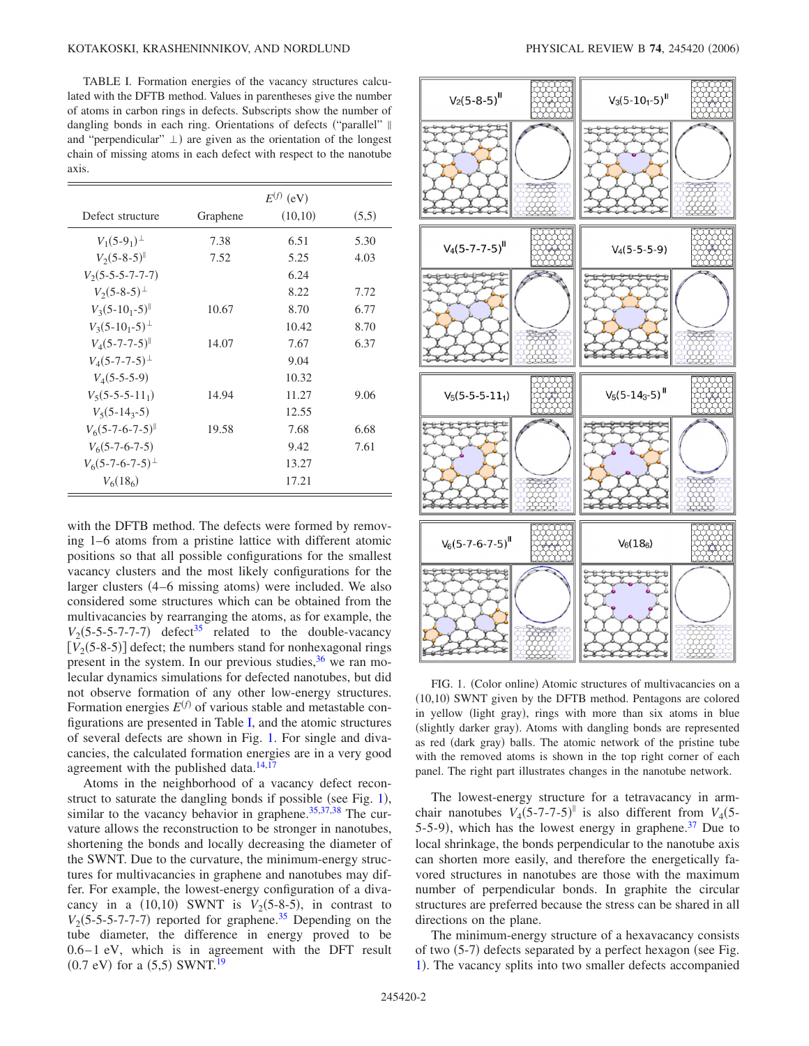<span id="page-1-0"></span>TABLE I. Formation energies of the vacancy structures calculated with the DFTB method. Values in parentheses give the number of atoms in carbon rings in defects. Subscripts show the number of dangling bonds in each ring. Orientations of defects ("parallel" || and "perpendicular"  $\perp$ ) are given as the orientation of the longest chain of missing atoms in each defect with respect to the nanotube axis.

|                                 | $E^{(f)}$ (eV) |         |       |
|---------------------------------|----------------|---------|-------|
| Defect structure                | Graphene       | (10,10) | (5,5) |
| $V_1(5-9_1)^{\perp}$            | 7.38           | 6.51    | 5.30  |
| $V_2(5-8-5)$                    | 7.52           | 5.25    | 4.03  |
| $V_2$ (5-5-5-7-7-7)             |                | 6.24    |       |
| $V_2(5-8-5)^{\perp}$            |                | 8.22    | 7.72  |
| $V_3(5-10,-5)^{  }$             | 10.67          | 8.70    | 6.77  |
| $V_3(5-10_1-5)^{\perp}$         |                | 10.42   | 8.70  |
| $V_4$ (5-7-7-5) <sup>  </sup>   | 14.07          | 7.67    | 6.37  |
| $V_4(5-7-7-5)^{\perp}$          |                | 9.04    |       |
| $V_4$ (5-5-5-9)                 |                | 10.32   |       |
| $V_5(5-5-5-11)$                 | 14.94          | 11.27   | 9.06  |
| $V_5(5-14_3-5)$                 |                | 12.55   |       |
| $V_6$ (5-7-6-7-5) <sup>  </sup> | 19.58          | 7.68    | 6.68  |
| $V_6$ (5-7-6-7-5)               |                | 9.42    | 7.61  |
| $V_6(5-7-6-7-5)^{\perp}$        |                | 13.27   |       |
| $V_6(18_6)$                     |                | 17.21   |       |

with the DFTB method. The defects were formed by removing 1–6 atoms from a pristine lattice with different atomic positions so that all possible configurations for the smallest vacancy clusters and the most likely configurations for the larger clusters (4–6 missing atoms) were included. We also considered some structures which can be obtained from the multivacancies by rearranging the atoms, as for example, the  $V_2$ (5-5-5-7-7-7) defect<sup>35</sup> related to the double-vacancy  $[V_2(5-8-5)]$  defect; the numbers stand for nonhexagonal rings present in the system. In our previous studies,  $36$  we ran molecular dynamics simulations for defected nanotubes, but did not observe formation of any other low-energy structures. Formation energies  $E^{(f)}$  of various stable and metastable configurations are presented in Table [I,](#page-1-0) and the atomic structures of several defects are shown in Fig. [1.](#page-1-1) For single and divacancies, the calculated formation energies are in a very good agreement with the published data. $14,17$  $14,17$ 

Atoms in the neighborhood of a vacancy defect recon-struct to saturate the dangling bonds if possible (see Fig. [1](#page-1-1)), similar to the vacancy behavior in graphene. $35,37,38$  $35,37,38$  $35,37,38$  The curvature allows the reconstruction to be stronger in nanotubes, shortening the bonds and locally decreasing the diameter of the SWNT. Due to the curvature, the minimum-energy structures for multivacancies in graphene and nanotubes may differ. For example, the lowest-energy configuration of a divacancy in a  $(10,10)$  SWNT is  $V_2(5-8-5)$ , in contrast to  $V_2$ (5-5-5-7-7-7) reported for graphene.<sup>35</sup> Depending on the tube diameter, the difference in energy proved to be 0.6–1 eV, which is in agreement with the DFT result  $(0.7 \text{ eV})$  for a  $(5,5)$  SWNT.<sup>19</sup>

<span id="page-1-1"></span>

FIG. 1. (Color online) Atomic structures of multivacancies on a (10,10) SWNT given by the DFTB method. Pentagons are colored in yellow (light gray), rings with more than six atoms in blue (slightly darker gray). Atoms with dangling bonds are represented as red (dark gray) balls. The atomic network of the pristine tube with the removed atoms is shown in the top right corner of each panel. The right part illustrates changes in the nanotube network.

The lowest-energy structure for a tetravacancy in armchair nanotubes *V*45-7-7-5- is also different from *V*45- 5-5-9), which has the lowest energy in graphene. $37$  Due to local shrinkage, the bonds perpendicular to the nanotube axis can shorten more easily, and therefore the energetically favored structures in nanotubes are those with the maximum number of perpendicular bonds. In graphite the circular structures are preferred because the stress can be shared in all directions on the plane.

The minimum-energy structure of a hexavacancy consists of two (5-7) defects separated by a perfect hexagon (see Fig. [1](#page-1-1)). The vacancy splits into two smaller defects accompanied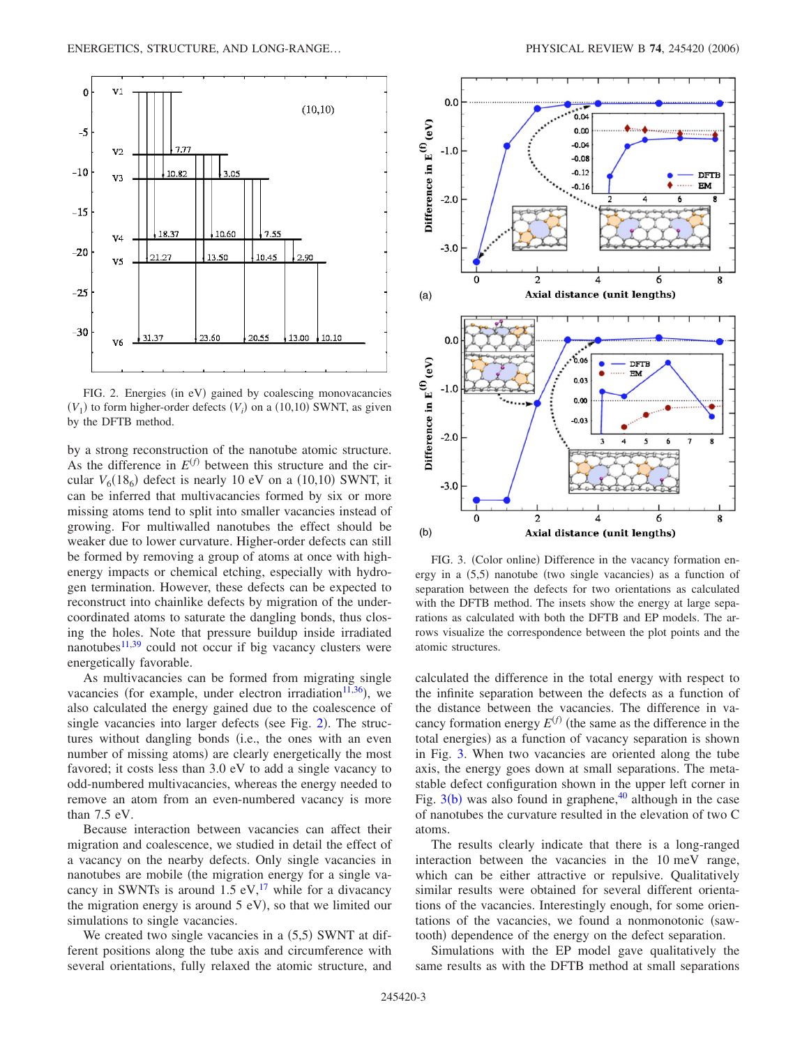<span id="page-2-0"></span>

FIG. 2. Energies (in eV) gained by coalescing monovacancies  $(V_1)$  to form higher-order defects  $(V_i)$  on a (10,10) SWNT, as given by the DFTB method.

by a strong reconstruction of the nanotube atomic structure. As the difference in  $E^{(f)}$  between this structure and the circular  $V_6(18_6)$  defect is nearly 10 eV on a  $(10,10)$  SWNT, it can be inferred that multivacancies formed by six or more missing atoms tend to split into smaller vacancies instead of growing. For multiwalled nanotubes the effect should be weaker due to lower curvature. Higher-order defects can still be formed by removing a group of atoms at once with highenergy impacts or chemical etching, especially with hydrogen termination. However, these defects can be expected to reconstruct into chainlike defects by migration of the undercoordinated atoms to saturate the dangling bonds, thus closing the holes. Note that pressure buildup inside irradiated nanotubes $11,39$  $11,39$  could not occur if big vacancy clusters were energetically favorable.

As multivacancies can be formed from migrating single vacancies (for example, under electron irradiation $11,36$  $11,36$ ), we also calculated the energy gained due to the coalescence of single vacancies into larger defects (see Fig. [2](#page-2-0)). The structures without dangling bonds (i.e., the ones with an even number of missing atoms) are clearly energetically the most favored; it costs less than 3.0 eV to add a single vacancy to odd-numbered multivacancies, whereas the energy needed to remove an atom from an even-numbered vacancy is more than 7.5 eV.

Because interaction between vacancies can affect their migration and coalescence, we studied in detail the effect of a vacancy on the nearby defects. Only single vacancies in nanotubes are mobile (the migration energy for a single vacancy in SWNTs is around 1.5  $eV<sub>1</sub><sup>17</sup>$  while for a divacancy the migration energy is around  $5$  eV), so that we limited our simulations to single vacancies.

We created two single vacancies in a  $(5.5)$  SWNT at different positions along the tube axis and circumference with several orientations, fully relaxed the atomic structure, and

<span id="page-2-1"></span>

FIG. 3. (Color online) Difference in the vacancy formation energy in a (5,5) nanotube (two single vacancies) as a function of separation between the defects for two orientations as calculated with the DFTB method. The insets show the energy at large separations as calculated with both the DFTB and EP models. The arrows visualize the correspondence between the plot points and the atomic structures.

calculated the difference in the total energy with respect to the infinite separation between the defects as a function of the distance between the vacancies. The difference in vacancy formation energy  $E^{(f)}$  (the same as the difference in the total energies) as a function of vacancy separation is shown in Fig. [3.](#page-2-1) When two vacancies are oriented along the tube axis, the energy goes down at small separations. The metastable defect configuration shown in the upper left corner in Fig.  $3(b)$  $3(b)$  was also found in graphene,<sup>40</sup> although in the case of nanotubes the curvature resulted in the elevation of two C atoms.

The results clearly indicate that there is a long-ranged interaction between the vacancies in the 10 meV range, which can be either attractive or repulsive. Qualitatively similar results were obtained for several different orientations of the vacancies. Interestingly enough, for some orientations of the vacancies, we found a nonmonotonic (sawtooth) dependence of the energy on the defect separation.

Simulations with the EP model gave qualitatively the same results as with the DFTB method at small separations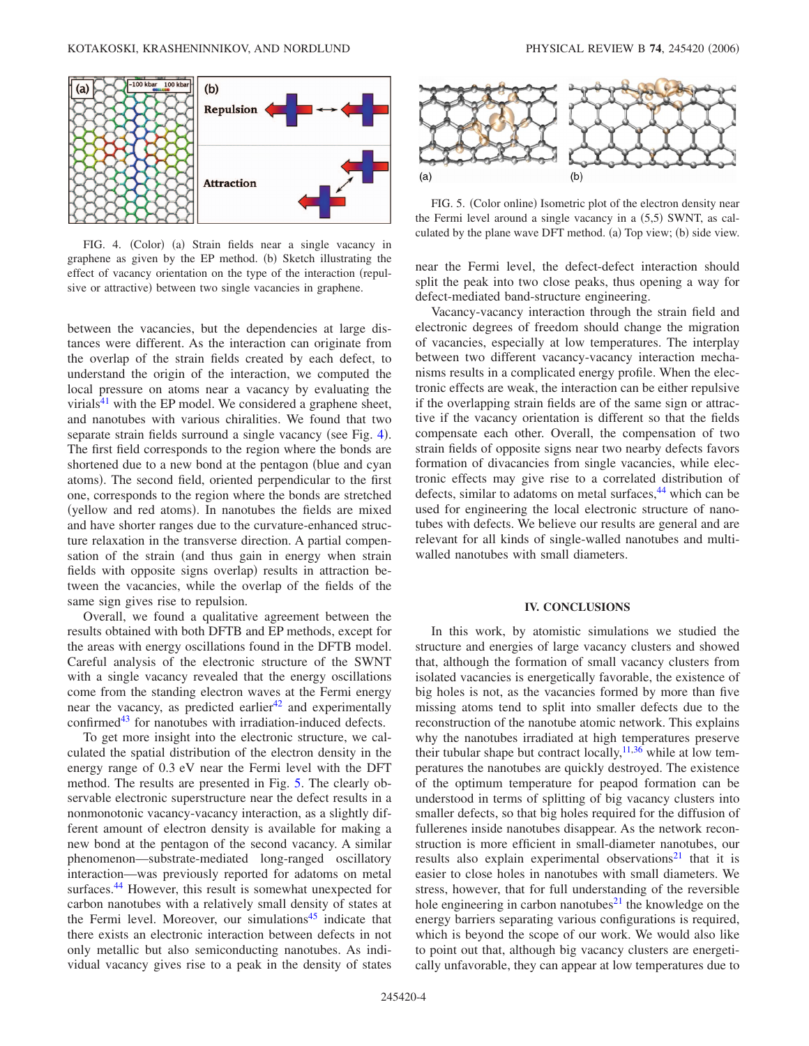<span id="page-3-0"></span>

FIG. 4. (Color) (a) Strain fields near a single vacancy in graphene as given by the EP method. (b) Sketch illustrating the effect of vacancy orientation on the type of the interaction (repulsive or attractive) between two single vacancies in graphene.

between the vacancies, but the dependencies at large distances were different. As the interaction can originate from the overlap of the strain fields created by each defect, to understand the origin of the interaction, we computed the local pressure on atoms near a vacancy by evaluating the virials<sup>41</sup> with the EP model. We considered a graphene sheet, and nanotubes with various chiralities. We found that two separate strain fields surround a single vacancy (see Fig. [4](#page-3-0)). The first field corresponds to the region where the bonds are shortened due to a new bond at the pentagon (blue and cyan atoms). The second field, oriented perpendicular to the first one, corresponds to the region where the bonds are stretched (yellow and red atoms). In nanotubes the fields are mixed and have shorter ranges due to the curvature-enhanced structure relaxation in the transverse direction. A partial compensation of the strain (and thus gain in energy when strain fields with opposite signs overlap) results in attraction between the vacancies, while the overlap of the fields of the same sign gives rise to repulsion.

Overall, we found a qualitative agreement between the results obtained with both DFTB and EP methods, except for the areas with energy oscillations found in the DFTB model. Careful analysis of the electronic structure of the SWNT with a single vacancy revealed that the energy oscillations come from the standing electron waves at the Fermi energy near the vacancy, as predicted earlier<sup>42</sup> and experimentally confirmed<sup>43</sup> for nanotubes with irradiation-induced defects.

To get more insight into the electronic structure, we calculated the spatial distribution of the electron density in the energy range of 0.3 eV near the Fermi level with the DFT method. The results are presented in Fig. [5.](#page-3-1) The clearly observable electronic superstructure near the defect results in a nonmonotonic vacancy-vacancy interaction, as a slightly different amount of electron density is available for making a new bond at the pentagon of the second vacancy. A similar phenomenon—substrate-mediated long-ranged oscillatory interaction—was previously reported for adatoms on metal surfaces.<sup>44</sup> However, this result is somewhat unexpected for carbon nanotubes with a relatively small density of states at the Fermi level. Moreover, our simulations<sup>45</sup> indicate that there exists an electronic interaction between defects in not only metallic but also semiconducting nanotubes. As individual vacancy gives rise to a peak in the density of states

<span id="page-3-1"></span>

FIG. 5. (Color online) Isometric plot of the electron density near the Fermi level around a single vacancy in a (5,5) SWNT, as calculated by the plane wave DFT method. (a) Top view; (b) side view.

near the Fermi level, the defect-defect interaction should split the peak into two close peaks, thus opening a way for defect-mediated band-structure engineering.

Vacancy-vacancy interaction through the strain field and electronic degrees of freedom should change the migration of vacancies, especially at low temperatures. The interplay between two different vacancy-vacancy interaction mechanisms results in a complicated energy profile. When the electronic effects are weak, the interaction can be either repulsive if the overlapping strain fields are of the same sign or attractive if the vacancy orientation is different so that the fields compensate each other. Overall, the compensation of two strain fields of opposite signs near two nearby defects favors formation of divacancies from single vacancies, while electronic effects may give rise to a correlated distribution of defects, similar to adatoms on metal surfaces,<sup>44</sup> which can be used for engineering the local electronic structure of nanotubes with defects. We believe our results are general and are relevant for all kinds of single-walled nanotubes and multiwalled nanotubes with small diameters.

#### **IV. CONCLUSIONS**

In this work, by atomistic simulations we studied the structure and energies of large vacancy clusters and showed that, although the formation of small vacancy clusters from isolated vacancies is energetically favorable, the existence of big holes is not, as the vacancies formed by more than five missing atoms tend to split into smaller defects due to the reconstruction of the nanotube atomic network. This explains why the nanotubes irradiated at high temperatures preserve their tubular shape but contract locally,  $11,36$  $11,36$  while at low temperatures the nanotubes are quickly destroyed. The existence of the optimum temperature for peapod formation can be understood in terms of splitting of big vacancy clusters into smaller defects, so that big holes required for the diffusion of fullerenes inside nanotubes disappear. As the network reconstruction is more efficient in small-diameter nanotubes, our results also explain experimental observations<sup>21</sup> that it is easier to close holes in nanotubes with small diameters. We stress, however, that for full understanding of the reversible hole engineering in carbon nanotubes $2<sup>1</sup>$  the knowledge on the energy barriers separating various configurations is required, which is beyond the scope of our work. We would also like to point out that, although big vacancy clusters are energetically unfavorable, they can appear at low temperatures due to